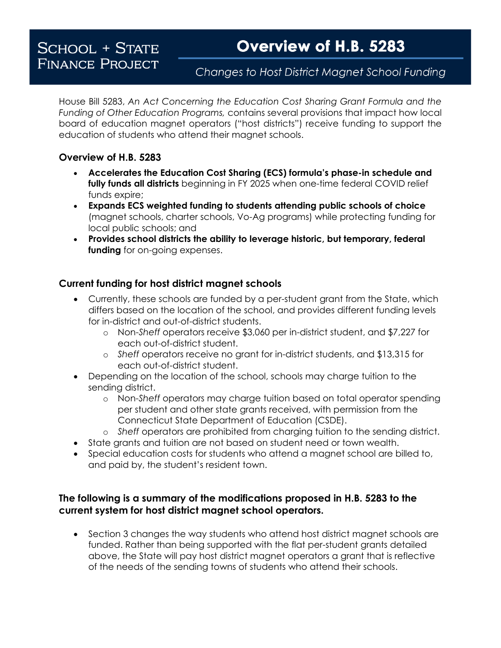# **SCHOOL + STATE FINANCE PROJECT**

## Changes to Host District Magnet School Funding

House Bill 5283, *An Act Concerning the Education Cost Sharing Grant Formula and the Funding of Other Education Programs,* contains several provisions that impact how local board of education magnet operators ("host districts") receive funding to support the education of students who attend their magnet schools.

### **Overview of H.B. 5283**

- **Accelerates the Education Cost Sharing (ECS) formula's phase-in schedule and fully funds all districts** beginning in FY 2025 when one-time federal COVID relief funds expire;
- **Expands ECS weighted funding to students attending public schools of choice**  (magnet schools, charter schools, Vo-Ag programs) while protecting funding for local public schools; and
- **Provides school districts the ability to leverage historic, but temporary, federal funding** for on-going expenses.

### **Current funding for host district magnet schools**

- Currently, these schools are funded by a per-student grant from the State, which differs based on the location of the school, and provides different funding levels for in-district and out-of-district students.
	- o Non-*Sheff* operators receive \$3,060 per in-district student, and \$7,227 for each out-of-district student.
	- o *Sheff* operators receive no grant for in-district students, and \$13,315 for each out-of-district student.
- Depending on the location of the school, schools may charge tuition to the sending district.
	- o Non-*Sheff* operators may charge tuition based on total operator spending per student and other state grants received, with permission from the Connecticut State Department of Education (CSDE).
	- o *Sheff* operators are prohibited from charging tuition to the sending district.
- State grants and tuition are not based on student need or town wealth.
- Special education costs for students who attend a magnet school are billed to, and paid by, the student's resident town.

#### **The following is a summary of the modifications proposed in H.B. 5283 to the current system for host district magnet school operators.**

Section 3 changes the way students who attend host district magnet schools are funded. Rather than being supported with the flat per-student grants detailed above, the State will pay host district magnet operators a grant that is reflective of the needs of the sending towns of students who attend their schools.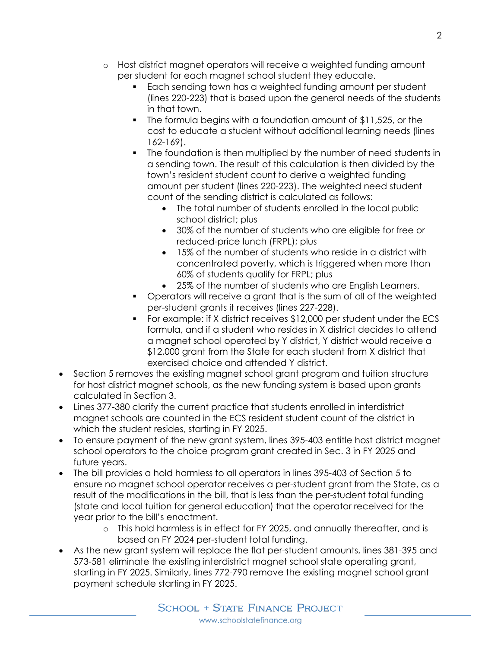- o Host district magnet operators will receive a weighted funding amount per student for each magnet school student they educate.
	- Each sending town has a weighted funding amount per student (lines 220-223) that is based upon the general needs of the students in that town.
	- The formula begins with a foundation amount of \$11,525, or the cost to educate a student without additional learning needs (lines 162-169).
	- The foundation is then multiplied by the number of need students in a sending town. The result of this calculation is then divided by the town's resident student count to derive a weighted funding amount per student (lines 220-223). The weighted need student count of the sending district is calculated as follows:
		- The total number of students enrolled in the local public school district; plus
		- 30% of the number of students who are eligible for free or reduced-price lunch (FRPL); plus
		- 15% of the number of students who reside in a district with concentrated poverty, which is triggered when more than 60% of students qualify for FRPL; plus
		- 25% of the number of students who are English Learners.
	- Operators will receive a grant that is the sum of all of the weighted per-student grants it receives (lines 227-228).
	- For example: if X district receives \$12,000 per student under the ECS formula, and if a student who resides in X district decides to attend a magnet school operated by Y district, Y district would receive a \$12,000 grant from the State for each student from X district that exercised choice and attended Y district.
- Section 5 removes the existing magnet school grant program and tuition structure for host district magnet schools, as the new funding system is based upon grants calculated in Section 3.
- Lines 377-380 clarify the current practice that students enrolled in interdistrict magnet schools are counted in the ECS resident student count of the district in which the student resides, starting in FY 2025.
- To ensure payment of the new grant system, lines 395-403 entitle host district magnet school operators to the choice program grant created in Sec. 3 in FY 2025 and future vears.
- The bill provides a hold harmless to all operators in lines 395-403 of Section 5 to ensure no magnet school operator receives a per-student grant from the State, as a result of the modifications in the bill, that is less than the per-student total funding (state and local tuition for general education) that the operator received for the year prior to the bill's enactment.
	- o This hold harmless is in effect for FY 2025, and annually thereafter, and is based on FY 2024 per-student total funding.
- As the new grant system will replace the flat per-student amounts, lines 381-395 and 573-581 eliminate the existing interdistrict magnet school state operating grant, starting in FY 2025. Similarly, lines 772-790 remove the existing magnet school grant payment schedule starting in FY 2025.